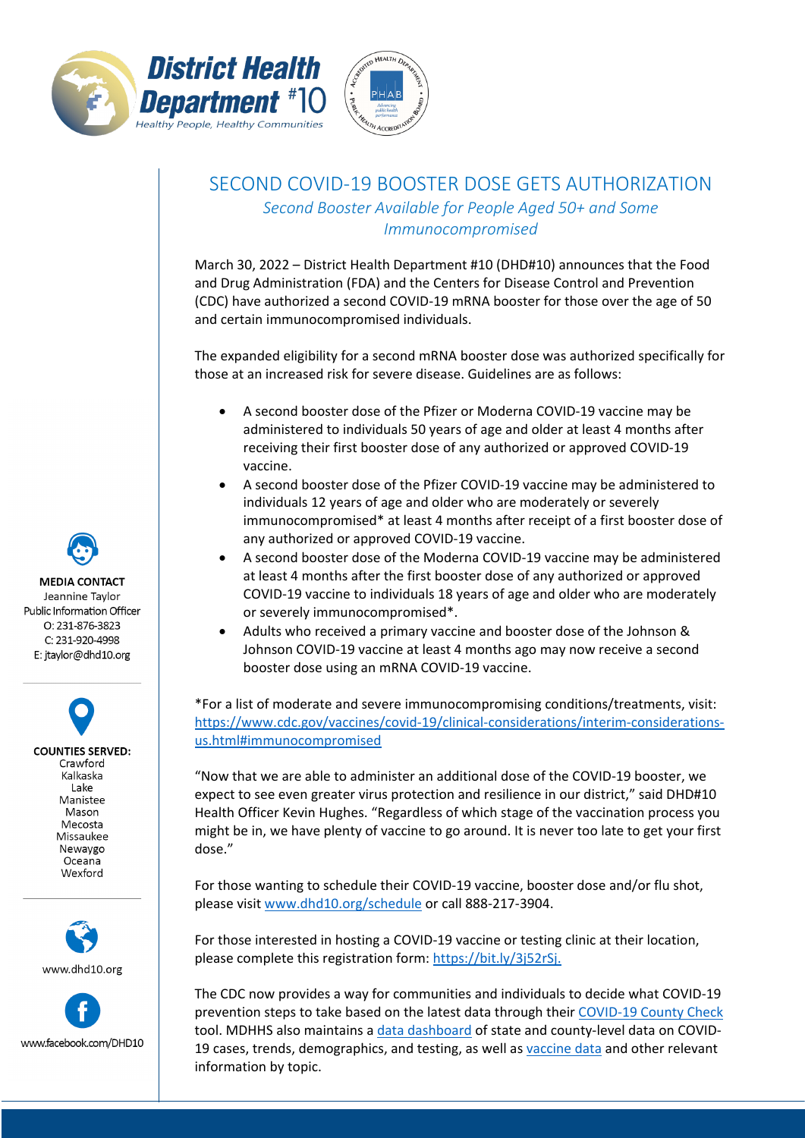



## SECOND COVID-19 BOOSTER DOSE GETS AUTHORIZATION *Second Booster Available for People Aged 50+ and Some Immunocompromised*

March 30, 2022 – District Health Department #10 (DHD#10) announces that the Food and Drug Administration (FDA) and the Centers for Disease Control and Prevention (CDC) have authorized a second COVID-19 mRNA booster for those over the age of 50 and certain immunocompromised individuals.

The expanded eligibility for a second mRNA booster dose was authorized specifically for those at an increased risk for severe disease. Guidelines are as follows:

- A second booster dose of the Pfizer or Moderna COVID-19 vaccine may be administered to individuals 50 years of age and older at least 4 months after receiving their first booster dose of any authorized or approved COVID-19 vaccine.
- A second booster dose of the Pfizer COVID-19 vaccine may be administered to individuals 12 years of age and older who are moderately or severely immunocompromised\* at least 4 months after receipt of a first booster dose of any authorized or approved COVID-19 vaccine.
- A second booster dose of the Moderna COVID-19 vaccine may be administered at least 4 months after the first booster dose of any authorized or approved COVID-19 vaccine to individuals 18 years of age and older who are moderately or severely immunocompromised\*.
- Adults who received a primary vaccine and booster dose of the Johnson & Johnson COVID-19 vaccine at least 4 months ago may now receive a second booster dose using an mRNA COVID-19 vaccine.

\*For a list of moderate and severe immunocompromising conditions/treatments, visit: [https://www.cdc.gov/vaccines/covid-19/clinical-considerations/interim-considerations](https://www.cdc.gov/vaccines/covid-19/clinical-considerations/interim-considerations-us.html#immunocompromised)[us.html#immunocompromised](https://www.cdc.gov/vaccines/covid-19/clinical-considerations/interim-considerations-us.html#immunocompromised)

"Now that we are able to administer an additional dose of the COVID-19 booster, we expect to see even greater virus protection and resilience in our district," said DHD#10 Health Officer Kevin Hughes. "Regardless of which stage of the vaccination process you might be in, we have plenty of vaccine to go around. It is never too late to get your first dose."

For those wanting to schedule their COVID-19 vaccine, booster dose and/or flu shot, please visit [www.dhd10.org/schedule](http://www.dhd10.org/schedule) or call 888-217-3904.

For those interested in hosting a COVID-19 vaccine or testing clinic at their location, please complete this registration form: [https://bit.ly/3j52rSj.](https://bit.ly/3j52rSj)

The CDC now provides a way for communities and individuals to decide what COVID-19 prevention steps to take based on the latest data through their [COVID-19 County Check](https://www.cdc.gov/coronavirus/2019-ncov/your-health/covid-by-county.html) tool. MDHHS also maintains a [data dashboard](https://www.michigan.gov/coronavirus/0,9753,7-406-98163_98173---,00.html) of state and county-level data on COVID-19 cases, trends, demographics, and testing, as well as [vaccine data](https://www.michigan.gov/coronavirus/0,9753,7-406-98178_103214-547150--,00.html) and other relevant information by topic.

**MEDIA CONTACT** Jeannine Taylor Public Information Officer  $O: 231 - 876 - 3823$ C: 231-920-4998 E: jtaylor@dhd10.org

> **COUNTIES SERVED:** Crawford Kalkaska Lake Manistee Mason Mecosta Missaukee Newaygo Oceana Wexford